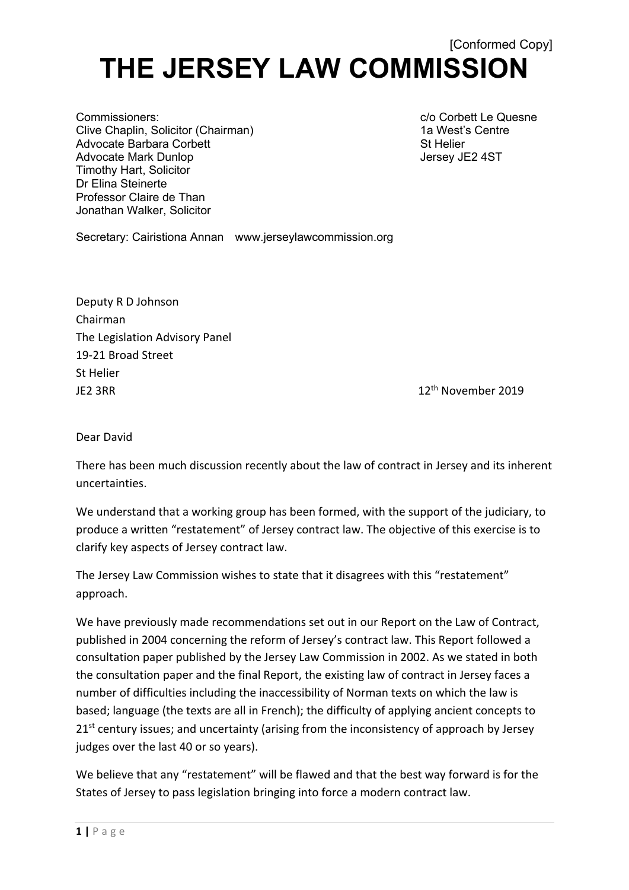## [Conformed Copy] **THE JERSEY LAW COMMISSION**

Commissioners: c/o Corbett Le Quesne Clive Chaplin, Solicitor (Chairman) 1a West's Centre Advocate Barbara Corbett **State Advocate Barbara** Corbett St Advocate Mark Dunlop **Jersey JE2 4ST** Timothy Hart, Solicitor Dr Elina Steinerte Professor Claire de Than Jonathan Walker, Solicitor

Secretary: Cairistiona Annan www.jerseylawcommission.org

Deputy R D Johnson Chairman The Legislation Advisory Panel 19-21 Broad Street St Helier  $J<sup>th</sup>$  November 2019

Dear David

There has been much discussion recently about the law of contract in Jersey and its inherent uncertainties.

We understand that a working group has been formed, with the support of the judiciary, to produce a written "restatement" of Jersey contract law. The objective of this exercise is to clarify key aspects of Jersey contract law.

The Jersey Law Commission wishes to state that it disagrees with this "restatement" approach.

We have previously made recommendations set out in our Report on the Law of Contract, published in 2004 concerning the reform of Jersey's contract law. This Report followed a consultation paper published by the Jersey Law Commission in 2002. As we stated in both the consultation paper and the final Report, the existing law of contract in Jersey faces a number of difficulties including the inaccessibility of Norman texts on which the law is based; language (the texts are all in French); the difficulty of applying ancient concepts to 21<sup>st</sup> century issues; and uncertainty (arising from the inconsistency of approach by Jersey judges over the last 40 or so years).

We believe that any "restatement" will be flawed and that the best way forward is for the States of Jersey to pass legislation bringing into force a modern contract law.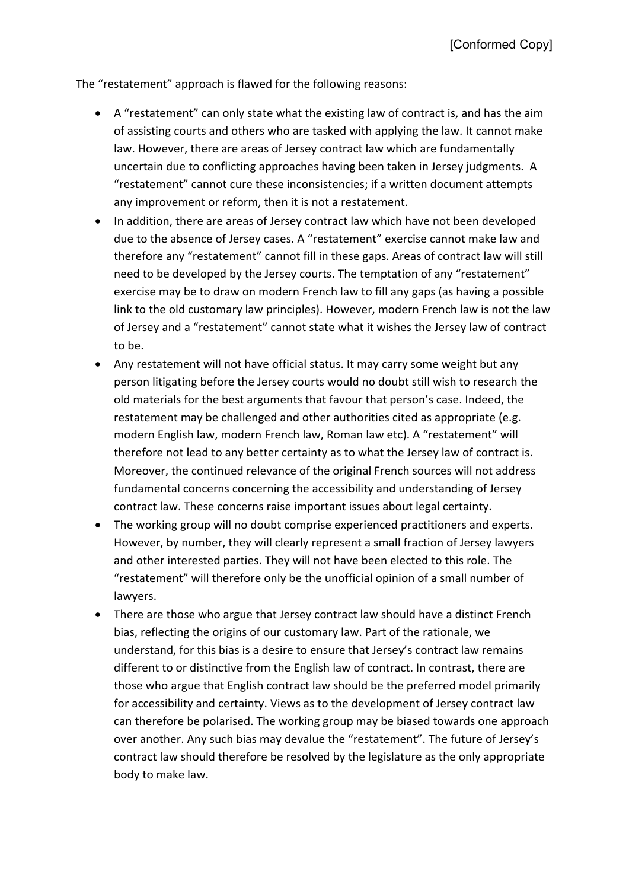The "restatement" approach is flawed for the following reasons:

- A "restatement" can only state what the existing law of contract is, and has the aim of assisting courts and others who are tasked with applying the law. It cannot make law. However, there are areas of Jersey contract law which are fundamentally uncertain due to conflicting approaches having been taken in Jersey judgments. A "restatement" cannot cure these inconsistencies; if a written document attempts any improvement or reform, then it is not a restatement.
- In addition, there are areas of Jersey contract law which have not been developed due to the absence of Jersey cases. A "restatement" exercise cannot make law and therefore any "restatement" cannot fill in these gaps. Areas of contract law will still need to be developed by the Jersey courts. The temptation of any "restatement" exercise may be to draw on modern French law to fill any gaps (as having a possible link to the old customary law principles). However, modern French law is not the law of Jersey and a "restatement" cannot state what it wishes the Jersey law of contract to be.
- Any restatement will not have official status. It may carry some weight but any person litigating before the Jersey courts would no doubt still wish to research the old materials for the best arguments that favour that person's case. Indeed, the restatement may be challenged and other authorities cited as appropriate (e.g. modern English law, modern French law, Roman law etc). A "restatement" will therefore not lead to any better certainty as to what the Jersey law of contract is. Moreover, the continued relevance of the original French sources will not address fundamental concerns concerning the accessibility and understanding of Jersey contract law. These concerns raise important issues about legal certainty.
- The working group will no doubt comprise experienced practitioners and experts. However, by number, they will clearly represent a small fraction of Jersey lawyers and other interested parties. They will not have been elected to this role. The "restatement" will therefore only be the unofficial opinion of a small number of lawyers.
- There are those who argue that Jersey contract law should have a distinct French bias, reflecting the origins of our customary law. Part of the rationale, we understand, for this bias is a desire to ensure that Jersey's contract law remains different to or distinctive from the English law of contract. In contrast, there are those who argue that English contract law should be the preferred model primarily for accessibility and certainty. Views as to the development of Jersey contract law can therefore be polarised. The working group may be biased towards one approach over another. Any such bias may devalue the "restatement". The future of Jersey's contract law should therefore be resolved by the legislature as the only appropriate body to make law.